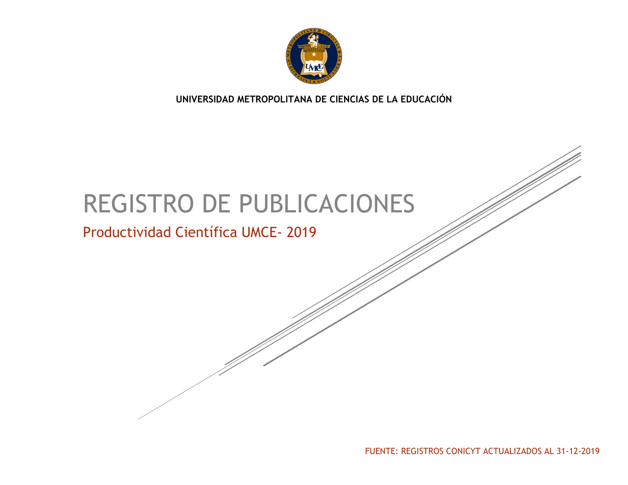

**UNIVERSIDAD METROPOLITANA DE CIENCIAS DE LA EDUCACIÓN**

# REGISTRO DE PUBLICACIONES

# Productividad Científica UMCE- 2019

FUENTE: REGISTROS CONICYT ACTUALIZADOS AL 31-12-2019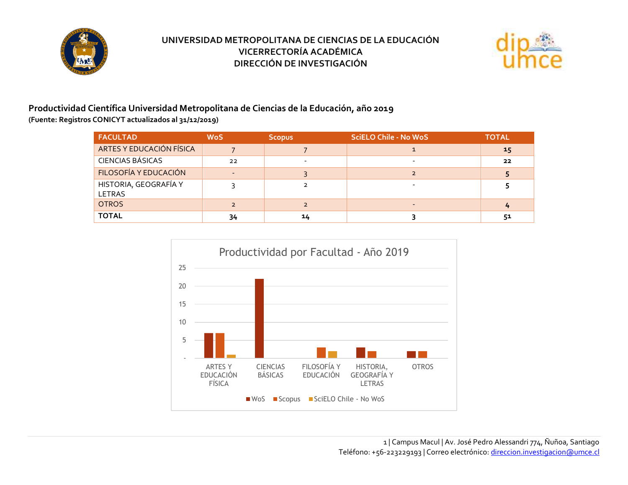



#### **Productividad Científica Universidad Metropolitana de Ciencias de la Educación, año 2019 (Fuente: Registros CONICYT actualizados al 31/12/2019)**

| <b>FACULTAD</b>                 | <b>WoS</b> | <b>Scopus</b> | <b>SciELO Chile - No WoS</b> | <b>TOTAL</b> |
|---------------------------------|------------|---------------|------------------------------|--------------|
| ARTES Y EDUCACIÓN FÍSICA        |            |               |                              | 15           |
| <b>CIENCIAS BÁSICAS</b>         | 22         |               |                              | 22           |
| FILOSOFÍA Y EDUCACIÓN           |            |               |                              |              |
| HISTORIA, GEOGRAFÍA Y<br>LETRAS |            |               |                              |              |
| <b>OTROS</b>                    |            |               | $-$                          | 4            |
| <b>TOTAL</b>                    | 34         | 14            |                              | 51           |

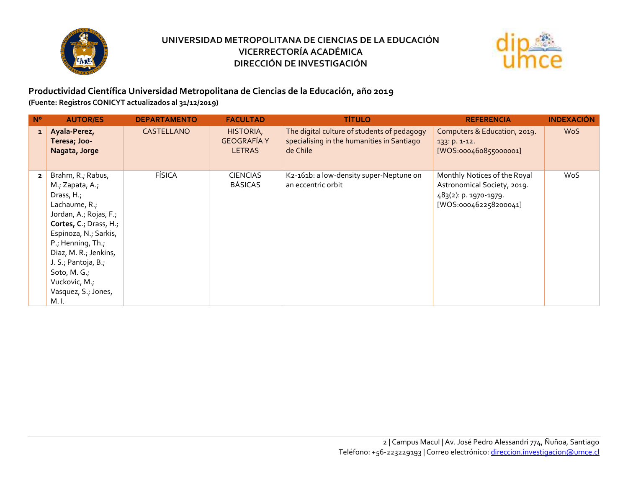



#### **Productividad Científica Universidad Metropolitana de Ciencias de la Educación, año 2019 (Fuente: Registros CONICYT actualizados al 31/12/2019)**

| $N^{\circ}$    | <b>AUTOR/ES</b>                                                                                                                                                                                                                                                                        | <b>DEPARTAMENTO</b> | <b>FACULTAD</b>                                  | <b>TÍTULO</b>                                                                                         | <b>REFERENCIA</b>                                                                                             | <b>INDEXACIÓN</b> |
|----------------|----------------------------------------------------------------------------------------------------------------------------------------------------------------------------------------------------------------------------------------------------------------------------------------|---------------------|--------------------------------------------------|-------------------------------------------------------------------------------------------------------|---------------------------------------------------------------------------------------------------------------|-------------------|
| $\mathbf{1}$   | Ayala-Perez,<br>Teresa; Joo-<br>Nagata, Jorge                                                                                                                                                                                                                                          | <b>CASTELLANO</b>   | HISTORIA,<br><b>GEOGRAFÍA Y</b><br><b>LETRAS</b> | The digital culture of students of pedagogy<br>specialising in the humanities in Santiago<br>de Chile | Computers & Education, 2019.<br>133: p. 1-12.<br>[WOS:000460855000001]                                        | <b>WoS</b>        |
| $\overline{2}$ | Brahm, R.; Rabus,<br>M.; Zapata, A.;<br>Drass, H.;<br>Lachaume, R.;<br>Jordan, A.; Rojas, F.;<br>Cortes, C.; Drass, H.;<br>Espinoza, N.; Sarkis,<br>P.; Henning, Th.;<br>Diaz, M. R.; Jenkins,<br>J. S., Pantoja, B.,<br>Soto, M. G.;<br>Vuckovic, M.;<br>Vasquez, S.; Jones,<br>M. I. | <b>FÍSICA</b>       | <b>CIENCIAS</b><br><b>BÁSICAS</b>                | K2-161b: a low-density super-Neptune on<br>an eccentric orbit                                         | Monthly Notices of the Royal<br>Astronomical Society, 2019.<br>483(2): p. 1970-1979.<br>[WOS:000462258200041] | WoS               |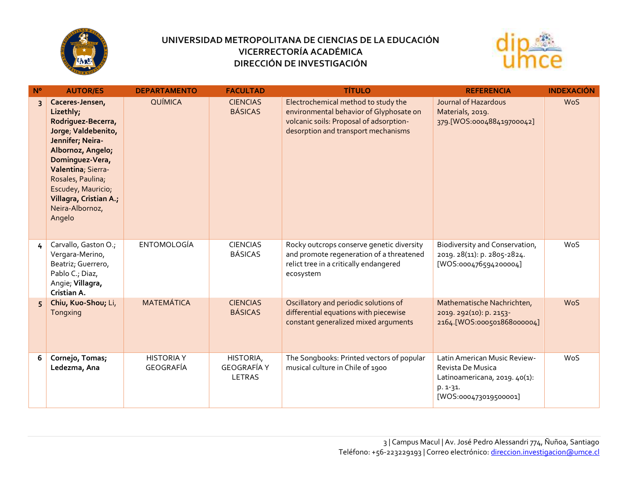



| N <sup>o</sup> | <b>AUTOR/ES</b>                                                                                                                                                                                                                                               | <b>DEPARTAMENTO</b>            | <b>FACULTAD</b>                           | <b>TÍTULO</b>                                                                                                                                                    | <b>REFERENCIA</b>                                                                                                         | <b>INDEXACIÓN</b> |
|----------------|---------------------------------------------------------------------------------------------------------------------------------------------------------------------------------------------------------------------------------------------------------------|--------------------------------|-------------------------------------------|------------------------------------------------------------------------------------------------------------------------------------------------------------------|---------------------------------------------------------------------------------------------------------------------------|-------------------|
| $\overline{3}$ | Caceres-Jensen,<br>Lizethly;<br>Rodriguez-Becerra,<br>Jorge, Valdebenito,<br>Jennifer; Neira-<br>Albornoz, Angelo;<br>Dominguez-Vera,<br>Valentina; Sierra-<br>Rosales, Paulina;<br>Escudey, Mauricio;<br>Villagra, Cristian A.;<br>Neira-Albornoz,<br>Angelo | <b>QUÍMICA</b>                 | <b>CIENCIAS</b><br><b>BÁSICAS</b>         | Electrochemical method to study the<br>environmental behavior of Glyphosate on<br>volcanic soils: Proposal of adsorption-<br>desorption and transport mechanisms | Journal of Hazardous<br>Materials, 2019.<br>379. [WOS:000488419700042]                                                    | <b>WoS</b>        |
| 4              | Carvallo, Gaston O.;<br>Vergara-Merino,<br>Beatriz; Guerrero,<br>Pablo C.; Diaz,<br>Angie; Villagra,<br>Cristian A.                                                                                                                                           | <b>ENTOMOLOGÍA</b>             | <b>CIENCIAS</b><br><b>BÁSICAS</b>         | Rocky outcrops conserve genetic diversity<br>and promote regeneration of a threatened<br>relict tree in a critically endangered<br>ecosystem                     | Biodiversity and Conservation,<br>2019. 28(11): p. 2805-2824.<br>[WOS:000476594200004]                                    | WoS               |
| 5              | Chiu, Kuo-Shou; Li,<br>Tongxing                                                                                                                                                                                                                               | <b>MATEMÁTICA</b>              | <b>CIENCIAS</b><br><b>BÁSICAS</b>         | Oscillatory and periodic solutions of<br>differential equations with piecewise<br>constant generalized mixed arguments                                           | Mathematische Nachrichten,<br>2019. 292(10): p. 2153-<br>2164.[WOS:000501868000004]                                       | <b>WoS</b>        |
| 6              | Cornejo, Tomas;<br>Ledezma, Ana                                                                                                                                                                                                                               | <b>HISTORIA Y</b><br>GEOGRAFÍA | HISTORIA,<br><b>GEOGRAFÍA Y</b><br>LETRAS | The Songbooks: Printed vectors of popular<br>musical culture in Chile of 1900                                                                                    | Latin American Music Review-<br>Revista De Musica<br>Latinoamericana, 2019. 40(1):<br>$p. 1-31.$<br>[WOS:000473019500001] | WoS               |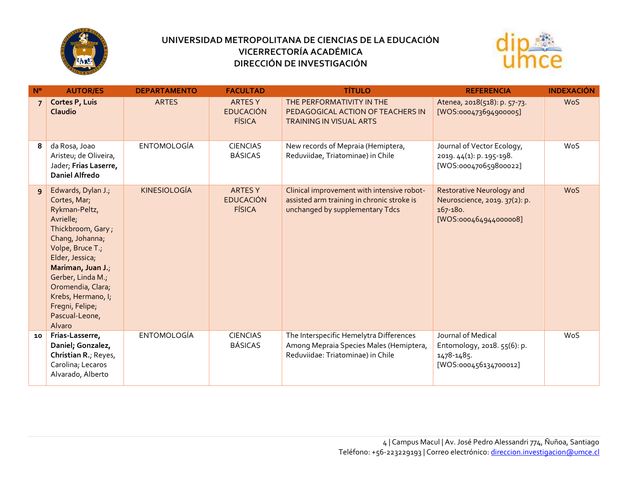



| $N^{\circ}$    | <b>AUTOR/ES</b>                                                                                                                                                                                                                                                                     | <b>DEPARTAMENTO</b> | <b>FACULTAD</b>                                     | <b>TÍTULO</b>                                                                                                               | <b>REFERENCIA</b>                                                                                      | <b>INDEXACIÓN</b> |
|----------------|-------------------------------------------------------------------------------------------------------------------------------------------------------------------------------------------------------------------------------------------------------------------------------------|---------------------|-----------------------------------------------------|-----------------------------------------------------------------------------------------------------------------------------|--------------------------------------------------------------------------------------------------------|-------------------|
| $\overline{7}$ | Cortes P, Luis<br>Claudio                                                                                                                                                                                                                                                           | <b>ARTES</b>        | <b>ARTES Y</b><br><b>EDUCACIÓN</b><br><b>FÍSICA</b> | THE PERFORMATIVITY IN THE<br>PEDAGOGICAL ACTION OF TEACHERS IN<br><b>TRAINING IN VISUAL ARTS</b>                            | Atenea, 2018(518): p. 57-73.<br>[WOS:000473694900005]                                                  | <b>WoS</b>        |
| 8              | da Rosa, Joao<br>Aristeu; de Oliveira,<br>Jader; Frias Laserre,<br><b>Daniel Alfredo</b>                                                                                                                                                                                            | <b>ENTOMOLOGÍA</b>  | <b>CIENCIAS</b><br><b>BÁSICAS</b>                   | New records of Mepraia (Hemiptera,<br>Reduviidae, Triatominae) in Chile                                                     | Journal of Vector Ecology,<br>2019. 44(1): p. 195-198.<br>[WOS:000470659800022]                        | <b>WoS</b>        |
| $\overline{9}$ | Edwards, Dylan J.;<br>Cortes, Mar;<br>Rykman-Peltz,<br>Avrielle;<br>Thickbroom, Gary;<br>Chang, Johanna;<br>Volpe, Bruce T.;<br>Elder, Jessica;<br>Mariman, Juan J.;<br>Gerber, Linda M.;<br>Oromendia, Clara;<br>Krebs, Hermano, I;<br>Fregni, Felipe;<br>Pascual-Leone,<br>Alvaro | <b>KINESIOLOGÍA</b> | <b>ARTES Y</b><br><b>EDUCACIÓN</b><br><b>FÍSICA</b> | Clinical improvement with intensive robot-<br>assisted arm training in chronic stroke is<br>unchanged by supplementary Tdcs | <b>Restorative Neurology and</b><br>Neuroscience, 2019. 37(2): p.<br>167-180.<br>[WOS:000464944000008] | <b>WoS</b>        |
| 10             | Frias-Lasserre,<br>Daniel; Gonzalez,<br>Christian R.; Reyes,<br>Carolina; Lecaros<br>Alvarado, Alberto                                                                                                                                                                              | <b>ENTOMOLOGÍA</b>  | <b>CIENCIAS</b><br><b>BÁSICAS</b>                   | The Interspecific Hemelytra Differences<br>Among Mepraia Species Males (Hemiptera,<br>Reduviidae: Triatominae) in Chile     | Journal of Medical<br>Entomology, 2018. 55(6): p.<br>1478-1485.<br>[WOS:000456134700012]               | WoS               |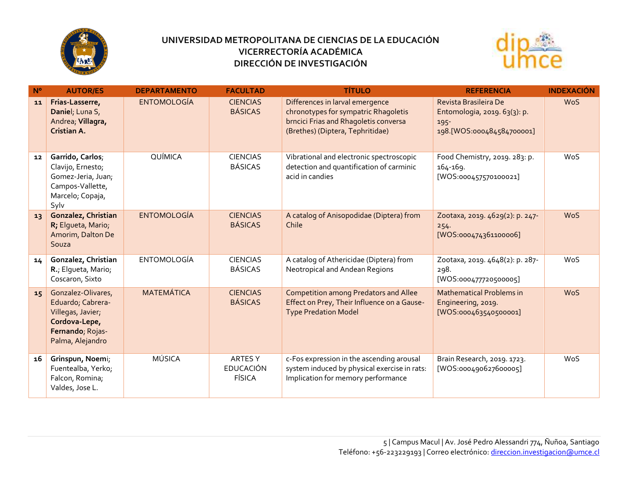



| $N^{\circ}$ | <b>AUTOR/ES</b>                                                                                                       | <b>DEPARTAMENTO</b> | <b>FACULTAD</b>                              | <b>TÍTULO</b>                                                                                                                                        | <b>REFERENCIA</b>                                                                             | <b>INDEXACIÓN</b> |
|-------------|-----------------------------------------------------------------------------------------------------------------------|---------------------|----------------------------------------------|------------------------------------------------------------------------------------------------------------------------------------------------------|-----------------------------------------------------------------------------------------------|-------------------|
| 11          | Frias-Lasserre,<br>Daniel; Luna S,<br>Andrea; Villagra,<br>Cristian A.                                                | <b>ENTOMOLOGÍA</b>  | <b>CIENCIAS</b><br><b>BÁSICAS</b>            | Differences in larval emergence<br>chronotypes for sympatric Rhagoletis<br>brncici Frias and Rhagoletis conversa<br>(Brethes) (Diptera, Tephritidae) | Revista Brasileira De<br>Entomologia, 2019. 63(3): p.<br>$195 -$<br>198.[WOS:000484584700001] | <b>WoS</b>        |
| 12          | Garrido, Carlos;<br>Clavijo, Ernesto;<br>Gomez-Jeria, Juan;<br>Campos-Vallette,<br>Marcelo; Copaja,<br>Sylv           | QUÍMICA             | <b>CIENCIAS</b><br><b>BÁSICAS</b>            | Vibrational and electronic spectroscopic<br>detection and quantification of carminic<br>acid in candies                                              | Food Chemistry, 2019. 283: p.<br>164-169.<br>[WOS:000457570100021]                            | WoS               |
| 13          | Gonzalez, Christian<br>R; Elgueta, Mario;<br>Amorim, Dalton De<br>Souza                                               | <b>ENTOMOLOGÍA</b>  | <b>CIENCIAS</b><br><b>BÁSICAS</b>            | A catalog of Anisopodidae (Diptera) from<br>Chile                                                                                                    | Zootaxa, 2019. 4629(2): p. 247-<br>254.<br>[WOS:000474361100006]                              | <b>WoS</b>        |
| 14          | Gonzalez, Christian<br>R.; Elgueta, Mario;<br>Coscaron, Sixto                                                         | <b>ENTOMOLOGÍA</b>  | <b>CIENCIAS</b><br><b>BÁSICAS</b>            | A catalog of Athericidae (Diptera) from<br>Neotropical and Andean Regions                                                                            | Zootaxa, 2019. 4648(2): p. 287-<br>298.<br>[WOS:000477720500005]                              | WoS               |
| 15          | Gonzalez-Olivares,<br>Eduardo; Cabrera-<br>Villegas, Javier;<br>Cordova-Lepe,<br>Fernando; Rojas-<br>Palma, Alejandro | <b>MATEMÁTICA</b>   | <b>CIENCIAS</b><br><b>BÁSICAS</b>            | <b>Competition among Predators and Allee</b><br>Effect on Prey, Their Influence on a Gause-<br><b>Type Predation Model</b>                           | <b>Mathematical Problems in</b><br>Engineering, 2019.<br>[WOS:000463540500001]                | <b>WoS</b>        |
| 16          | Grinspun, Noemi;<br>Fuentealba, Yerko;<br>Falcon, Romina;<br>Valdes, Jose L.                                          | <b>MÚSICA</b>       | ARTES Y<br><b>EDUCACIÓN</b><br><b>FÍSICA</b> | c-Fos expression in the ascending arousal<br>system induced by physical exercise in rats:<br>Implication for memory performance                      | Brain Research, 2019. 1723.<br>[WOS:000490627600005]                                          | WoS               |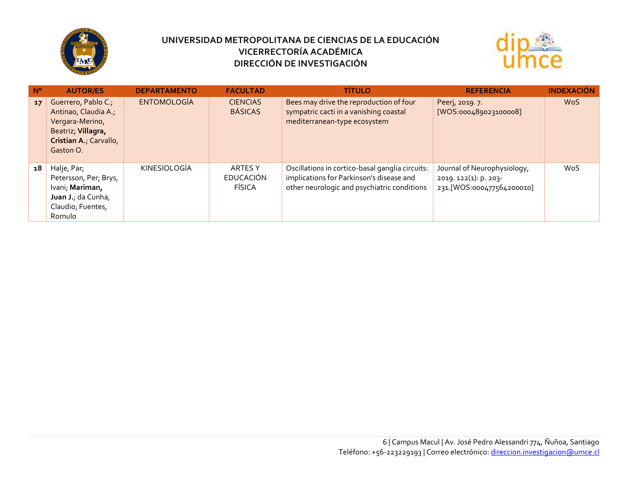



| $N^{\circ}$ | <b>AUTOR/ES</b>                                                                                                             | <b>DEPARTAMENTO</b> | <b>FACULTAD</b>                              | <b>TÍTULO</b>                                                                                                                              | <b>REFERENCIA</b>                                                                 | <b>INDEXACIÓN</b> |
|-------------|-----------------------------------------------------------------------------------------------------------------------------|---------------------|----------------------------------------------|--------------------------------------------------------------------------------------------------------------------------------------------|-----------------------------------------------------------------------------------|-------------------|
| 17          | Guerrero, Pablo C.;<br>Antinao, Claudia A.,<br>Vergara-Merino,<br>Beatriz; Villagra,<br>Cristian A., Carvallo,<br>Gaston O. | <b>ENTOMOLOGÍA</b>  | <b>CIENCIAS</b><br><b>BÁSICAS</b>            | Bees may drive the reproduction of four<br>sympatric cacti in a vanishing coastal<br>mediterranean-type ecosystem                          | Peerj, 2019. 7.<br>[WOS:000489023100008]                                          | <b>WoS</b>        |
| 18          | Halje, Par;<br>Petersson, Per; Brys,<br>Ivani; Mariman,<br>Juan J.; da Cunha,<br>Claudio; Fuentes,<br>Romulo                | <b>KINESIOLOGÍA</b> | <b>ARTES Y</b><br><b>EDUCACIÓN</b><br>FÍSICA | Oscillations in cortico-basal ganglia circuits:<br>implications for Parkinson's disease and<br>other neurologic and psychiatric conditions | Journal of Neurophysiology,<br>2019. 122(1): p. 203-<br>231.[WOS:000477564200010] | <b>WoS</b>        |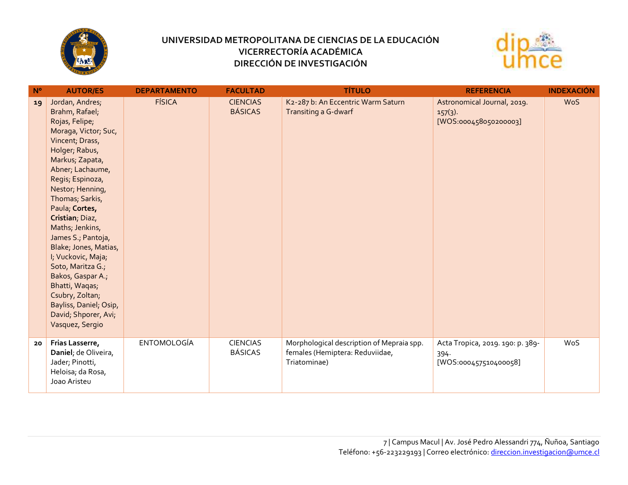



| $N^{\circ}$ | <b>AUTOR/ES</b>                                                                                                                                                                                                                                                                                                                                                                                                                                                                                     | <b>DEPARTAMENTO</b> | <b>FACULTAD</b>                   | <b>TÍTULO</b>                                                                                | <b>REFERENCIA</b>                                                  | <b>INDEXACIÓN</b> |
|-------------|-----------------------------------------------------------------------------------------------------------------------------------------------------------------------------------------------------------------------------------------------------------------------------------------------------------------------------------------------------------------------------------------------------------------------------------------------------------------------------------------------------|---------------------|-----------------------------------|----------------------------------------------------------------------------------------------|--------------------------------------------------------------------|-------------------|
| 19          | Jordan, Andres;<br>Brahm, Rafael;<br>Rojas, Felipe;<br>Moraga, Victor; Suc,<br>Vincent; Drass,<br>Holger; Rabus,<br>Markus; Zapata,<br>Abner; Lachaume,<br>Regis; Espinoza,<br>Nestor; Henning,<br>Thomas; Sarkis,<br>Paula; Cortes,<br>Cristian, Diaz,<br>Maths; Jenkins,<br>James S.; Pantoja,<br>Blake; Jones, Matias,<br>I; Vuckovic, Maja;<br>Soto, Maritza G.;<br>Bakos, Gaspar A.;<br>Bhatti, Waqas;<br>Csubry, Zoltan;<br>Bayliss, Daniel, Osip,<br>David; Shporer, Avi;<br>Vasquez, Sergio | <b>FÍSICA</b>       | <b>CIENCIAS</b><br><b>BÁSICAS</b> | K2-287 b: An Eccentric Warm Saturn<br>Transiting a G-dwarf                                   | Astronomical Journal, 2019.<br>$157(3)$ .<br>[WOS:000458050200003] | <b>WoS</b>        |
| 20          | Frias Lasserre,<br>Daniel; de Oliveira,<br>Jader; Pinotti,<br>Heloisa; da Rosa,<br>Joao Aristeu                                                                                                                                                                                                                                                                                                                                                                                                     | <b>ENTOMOLOGÍA</b>  | <b>CIENCIAS</b><br><b>BÁSICAS</b> | Morphological description of Mepraia spp.<br>females (Hemiptera: Reduviidae,<br>Triatominae) | Acta Tropica, 2019. 190: p. 389-<br>394.<br>[WOS:000457510400058]  | WoS               |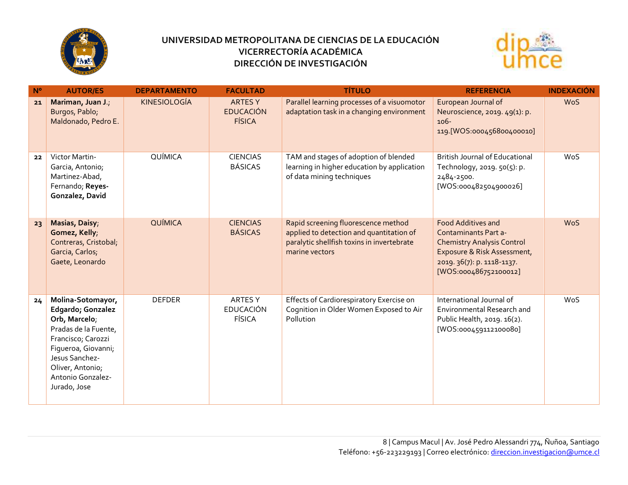



| $N^{\circ}$ | <b>AUTOR/ES</b>                                                                                                                                                                                         | <b>DEPARTAMENTO</b> | <b>FACULTAD</b>                                     | <b>TÍTULO</b>                                                                                                                                   | <b>REFERENCIA</b>                                                                                                                                                                   | <b>INDEXACIÓN</b> |
|-------------|---------------------------------------------------------------------------------------------------------------------------------------------------------------------------------------------------------|---------------------|-----------------------------------------------------|-------------------------------------------------------------------------------------------------------------------------------------------------|-------------------------------------------------------------------------------------------------------------------------------------------------------------------------------------|-------------------|
| 21          | Mariman, Juan J.;<br>Burgos, Pablo;<br>Maldonado, Pedro E.                                                                                                                                              | <b>KINESIOLOGÍA</b> | <b>ARTES Y</b><br><b>EDUCACIÓN</b><br><b>FÍSICA</b> | Parallel learning processes of a visuomotor<br>adaptation task in a changing environment                                                        | European Journal of<br>Neuroscience, 2019. 49(1): p.<br>106-<br>119.[WOS:000456800400010]                                                                                           | <b>WoS</b>        |
| 22          | Victor Martin-<br>Garcia, Antonio;<br>Martinez-Abad,<br>Fernando; Reyes-<br>Gonzalez, David                                                                                                             | QUÍMICA             | <b>CIENCIAS</b><br><b>BÁSICAS</b>                   | TAM and stages of adoption of blended<br>learning in higher education by application<br>of data mining techniques                               | <b>British Journal of Educational</b><br>Technology, 2019. 50(5): p.<br>2484-2500.<br>[WOS:000482504900026]                                                                         | WoS               |
| 23          | Masias, Daisy;<br>Gomez, Kelly;<br>Contreras, Cristobal;<br>Garcia, Carlos;<br>Gaete, Leonardo                                                                                                          | <b>QUÍMICA</b>      | <b>CIENCIAS</b><br><b>BÁSICAS</b>                   | Rapid screening fluorescence method<br>applied to detection and quantitation of<br>paralytic shellfish toxins in invertebrate<br>marine vectors | <b>Food Additives and</b><br><b>Contaminants Part a-</b><br><b>Chemistry Analysis Control</b><br>Exposure & Risk Assessment,<br>2019. 36(7): p. 1118-1137.<br>[WOS:000486752100012] | <b>WoS</b>        |
| 24          | Molina-Sotomayor,<br>Edgardo; Gonzalez<br>Orb, Marcelo;<br>Pradas de la Fuente,<br>Francisco; Carozzi<br>Figueroa, Giovanni;<br>Jesus Sanchez-<br>Oliver, Antonio;<br>Antonio Gonzalez-<br>Jurado, Jose | <b>DEFDER</b>       | <b>ARTES Y</b><br><b>EDUCACIÓN</b><br><b>FÍSICA</b> | Effects of Cardiorespiratory Exercise on<br>Cognition in Older Women Exposed to Air<br>Pollution                                                | International Journal of<br>Environmental Research and<br>Public Health, 2019. 16(2).<br>[WOS:000459112100080]                                                                      | WoS               |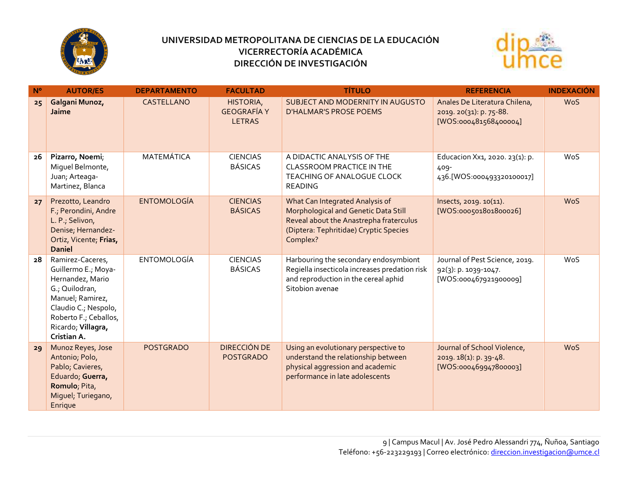



| $N^{\circ}$ | <b>AUTOR/ES</b>                                                                                                                                                                         | <b>DEPARTAMENTO</b> | <b>FACULTAD</b>                                  | <b>TÍTULO</b>                                                                                                                                                            | <b>REFERENCIA</b>                                                                 | <b>INDEXACIÓN</b> |
|-------------|-----------------------------------------------------------------------------------------------------------------------------------------------------------------------------------------|---------------------|--------------------------------------------------|--------------------------------------------------------------------------------------------------------------------------------------------------------------------------|-----------------------------------------------------------------------------------|-------------------|
| 25          | Galgani Munoz,<br>Jaime                                                                                                                                                                 | CASTELLANO          | HISTORIA,<br><b>GEOGRAFÍA Y</b><br><b>LETRAS</b> | SUBJECT AND MODERNITY IN AUGUSTO<br><b>D'HALMAR'S PROSE POEMS</b>                                                                                                        | Anales De Literatura Chilena,<br>2019. 20(31): p. 75-88.<br>[WOS:000481568400004] | <b>WoS</b>        |
| 26          | Pizarro, Noemi;<br>Miguel Belmonte,<br>Juan; Arteaga-<br>Martinez, Blanca                                                                                                               | <b>MATEMÁTICA</b>   | <b>CIENCIAS</b><br><b>BÁSICAS</b>                | A DIDACTIC ANALYSIS OF THE<br><b>CLASSROOM PRACTICE IN THE</b><br>TEACHING OF ANALOGUE CLOCK<br><b>READING</b>                                                           | Educacion Xx1, 2020. 23(1): p.<br>409-<br>436.[WOS:000493320100017]               | WoS               |
| 27          | Prezotto, Leandro<br>F.; Perondini, Andre<br>L. P.; Selivon,<br>Denise; Hernandez-<br>Ortiz, Vicente; Frias,<br><b>Daniel</b>                                                           | <b>ENTOMOLOGÍA</b>  | <b>CIENCIAS</b><br><b>BÁSICAS</b>                | What Can Integrated Analysis of<br>Morphological and Genetic Data Still<br>Reveal about the Anastrepha fraterculus<br>(Diptera: Tephritidae) Cryptic Species<br>Complex? | lnsects, 2019. 10(11).<br>[WOS:000501801800026]                                   | <b>WoS</b>        |
| 28          | Ramirez-Caceres,<br>Guillermo E.; Moya-<br>Hernandez, Mario<br>G.; Quilodran,<br>Manuel; Ramirez,<br>Claudio C.; Nespolo,<br>Roberto F.; Ceballos,<br>Ricardo; Villagra,<br>Cristian A. | <b>ENTOMOLOGÍA</b>  | <b>CIENCIAS</b><br><b>BÁSICAS</b>                | Harbouring the secondary endosymbiont<br>Regiella insecticola increases predation risk<br>and reproduction in the cereal aphid<br>Sitobion avenae                        | Journal of Pest Science, 2019.<br>92(3): p. 1039-1047.<br>[WOS:000467921900009]   | WoS               |
| 29          | Munoz Reyes, Jose<br>Antonio; Polo,<br>Pablo; Cavieres,<br>Eduardo; Guerra,<br>Romulo; Pita,<br>Miguel; Turiegano,<br>Enrique                                                           | <b>POSTGRADO</b>    | <b>DIRECCIÓN DE</b><br><b>POSTGRADO</b>          | Using an evolutionary perspective to<br>understand the relationship between<br>physical aggression and academic<br>performance in late adolescents                       | Journal of School Violence,<br>2019. 18(1): p. 39-48.<br>[WOS:000469947800003]    | <b>WoS</b>        |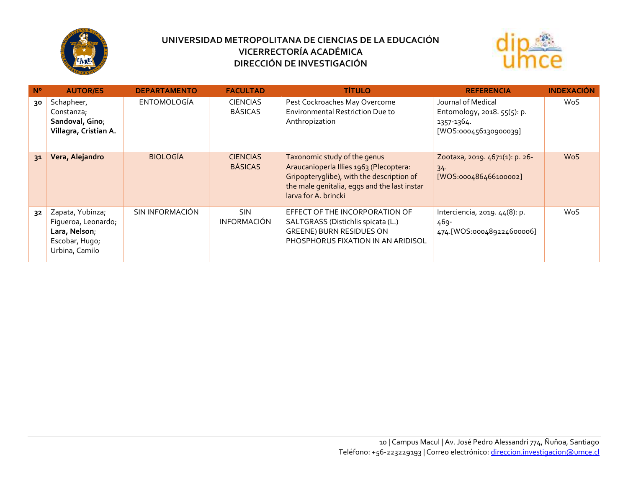



| $N^{\circ}$ | <b>AUTOR/ES</b>                                                                              | <b>DEPARTAMENTO</b> | <b>FACULTAD</b>                   | <b>TÍTULO</b>                                                                                                                                                                                | <b>REFERENCIA</b>                                                                        | <b>INDEXACIÓN</b> |
|-------------|----------------------------------------------------------------------------------------------|---------------------|-----------------------------------|----------------------------------------------------------------------------------------------------------------------------------------------------------------------------------------------|------------------------------------------------------------------------------------------|-------------------|
| 30          | Schapheer,<br>Constanza;<br>Sandoval, Gino;<br>Villagra, Cristian A.                         | <b>ENTOMOLOGÍA</b>  | <b>CIENCIAS</b><br><b>BÁSICAS</b> | Pest Cockroaches May Overcome<br><b>Environmental Restriction Due to</b><br>Anthropization                                                                                                   | Journal of Medical<br>Entomology, 2018. 55(5): p.<br>1357-1364.<br>[WOS:000456130900039] | <b>WoS</b>        |
| 31          | Vera, Alejandro                                                                              | <b>BIOLOGÍA</b>     | <b>CIENCIAS</b><br><b>BÁSICAS</b> | Taxonomic study of the genus<br>Araucanioperla Illies 1963 (Plecoptera:<br>Gripopteryglibe), with the description of<br>the male genitalia, eggs and the last instar<br>larva for A. brincki | Zootaxa, 2019. 4671(1): p. 26-<br>34.<br>[WOS:000486466100002]                           | <b>WoS</b>        |
| 32          | Zapata, Yubinza;<br>Figueroa, Leonardo;<br>Lara, Nelson;<br>Escobar, Hugo;<br>Urbina, Camilo | SIN INFORMACIÓN     | <b>SIN</b><br><b>INFORMACIÓN</b>  | EFFECT OF THE INCORPORATION OF<br>SALTGRASS (Distichlis spicata (L.)<br>GREENE) BURN RESIDUES ON<br>PHOSPHORUS FIXATION IN AN ARIDISOL                                                       | Interciencia, 2019. 44(8): p.<br>469-<br>474.[WOS:000489224600006]                       | WoS               |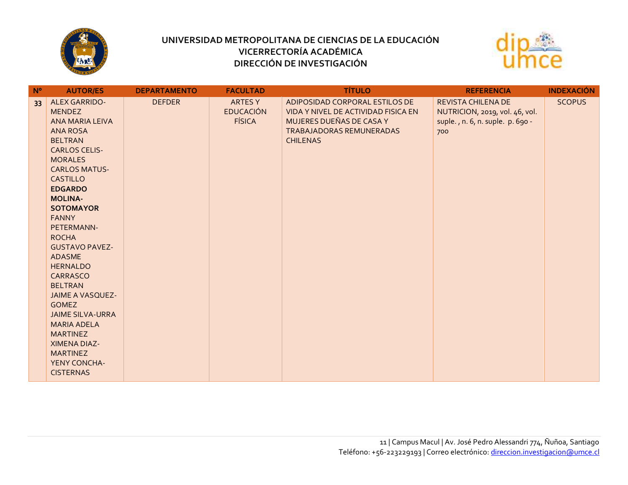



| $N^{\circ}$     | <b>AUTOR/ES</b>                        | <b>DEPARTAMENTO</b> | <b>FACULTAD</b>  | <b>TÍTULO</b>                       | <b>REFERENCIA</b>                | <b>INDEXACIÓN</b> |
|-----------------|----------------------------------------|---------------------|------------------|-------------------------------------|----------------------------------|-------------------|
| 33 <sup>°</sup> | <b>ALEX GARRIDO-</b>                   | <b>DEFDER</b>       | <b>ARTES Y</b>   | ADIPOSIDAD CORPORAL ESTILOS DE      | REVISTA CHILENA DE               | <b>SCOPUS</b>     |
|                 | <b>MENDEZ</b>                          |                     | <b>EDUCACIÓN</b> | VIDA Y NIVEL DE ACTIVIDAD FISICA EN | NUTRICION, 2019, vol. 46, vol.   |                   |
|                 | ANA MARIA LEIVA                        |                     | <b>FÍSICA</b>    | MUJERES DUEÑAS DE CASA Y            | suple., n. 6, n. suple. p. 690 - |                   |
|                 | <b>ANA ROSA</b>                        |                     |                  | TRABAJADORAS REMUNERADAS            | 700                              |                   |
|                 | <b>BELTRAN</b>                         |                     |                  | <b>CHILENAS</b>                     |                                  |                   |
|                 | <b>CARLOS CELIS-</b>                   |                     |                  |                                     |                                  |                   |
|                 | <b>MORALES</b>                         |                     |                  |                                     |                                  |                   |
|                 | <b>CARLOS MATUS-</b>                   |                     |                  |                                     |                                  |                   |
|                 | <b>CASTILLO</b>                        |                     |                  |                                     |                                  |                   |
|                 | <b>EDGARDO</b>                         |                     |                  |                                     |                                  |                   |
|                 | <b>MOLINA-</b>                         |                     |                  |                                     |                                  |                   |
|                 | <b>SOTOMAYOR</b>                       |                     |                  |                                     |                                  |                   |
|                 | <b>FANNY</b>                           |                     |                  |                                     |                                  |                   |
|                 | PETERMANN-                             |                     |                  |                                     |                                  |                   |
|                 | <b>ROCHA</b>                           |                     |                  |                                     |                                  |                   |
|                 | <b>GUSTAVO PAVEZ-</b><br><b>ADASME</b> |                     |                  |                                     |                                  |                   |
|                 | <b>HERNALDO</b>                        |                     |                  |                                     |                                  |                   |
|                 | CARRASCO                               |                     |                  |                                     |                                  |                   |
|                 | <b>BELTRAN</b>                         |                     |                  |                                     |                                  |                   |
|                 | <b>JAIME A VASQUEZ-</b>                |                     |                  |                                     |                                  |                   |
|                 | <b>GOMEZ</b>                           |                     |                  |                                     |                                  |                   |
|                 | <b>JAIME SILVA-URRA</b>                |                     |                  |                                     |                                  |                   |
|                 | <b>MARIA ADELA</b>                     |                     |                  |                                     |                                  |                   |
|                 | <b>MARTINEZ</b>                        |                     |                  |                                     |                                  |                   |
|                 | XIMENA DIAZ-                           |                     |                  |                                     |                                  |                   |
|                 | <b>MARTINEZ</b>                        |                     |                  |                                     |                                  |                   |
|                 | YENY CONCHA-                           |                     |                  |                                     |                                  |                   |
|                 | <b>CISTERNAS</b>                       |                     |                  |                                     |                                  |                   |
|                 |                                        |                     |                  |                                     |                                  |                   |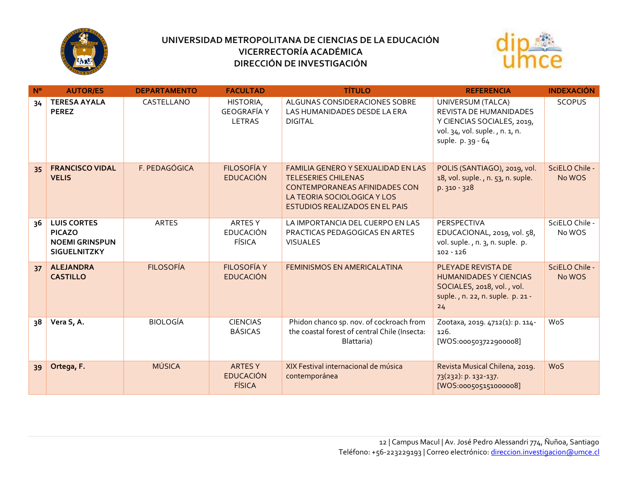



| N <sup>o</sup> | <b>AUTOR/ES</b>                                                                     | <b>DEPARTAMENTO</b> | <b>FACULTAD</b>                                     | <b>TÍTULO</b>                                                                                                                                                                           | <b>REFERENCIA</b>                                                                                                                | <b>INDEXACIÓN</b>        |
|----------------|-------------------------------------------------------------------------------------|---------------------|-----------------------------------------------------|-----------------------------------------------------------------------------------------------------------------------------------------------------------------------------------------|----------------------------------------------------------------------------------------------------------------------------------|--------------------------|
| 34             | <b>TERESA AYALA</b><br><b>PEREZ</b>                                                 | CASTELLANO          | HISTORIA,<br><b>GEOGRAFÍA Y</b><br><b>LETRAS</b>    | ALGUNAS CONSIDERACIONES SOBRE<br>LAS HUMANIDADES DESDE LA ERA<br><b>DIGITAL</b>                                                                                                         | UNIVERSUM (TALCA)<br>REVISTA DE HUMANIDADES<br>Y CIENCIAS SOCIALES, 2019,<br>vol. 34, vol. suple., n. 1, n.<br>suple. p. 39 - 64 | <b>SCOPUS</b>            |
| 35             | <b>FRANCISCO VIDAL</b><br><b>VELIS</b>                                              | F. PEDAGÓGICA       | <b>FILOSOFÍA Y</b><br><b>EDUCACIÓN</b>              | <b>FAMILIA GENERO Y SEXUALIDAD EN LAS</b><br><b>TELESERIES CHILENAS</b><br><b>CONTEMPORANEAS AFINIDADES CON</b><br>LA TEORIA SOCIOLOGICA Y LOS<br><b>ESTUDIOS REALIZADOS EN EL PAIS</b> | POLIS (SANTIAGO), 2019, vol.<br>18, vol. suple., n. 53, n. suple.<br>p. 310 - 328                                                | SciELO Chile -<br>No WOS |
| 36             | <b>LUIS CORTES</b><br><b>PICAZO</b><br><b>NOEMI GRINSPUN</b><br><b>SIGUELNITZKY</b> | <b>ARTES</b>        | ARTES Y<br><b>EDUCACIÓN</b><br><b>FÍSICA</b>        | LA IMPORTANCIA DEL CUERPO EN LAS<br>PRACTICAS PEDAGOGICAS EN ARTES<br><b>VISUALES</b>                                                                                                   | PERSPECTIVA<br>EDUCACIONAL, 2019, vol. 58,<br>vol. suple., n. 3, n. suple. p.<br>$102 - 126$                                     | SciELO Chile -<br>No WOS |
| 37             | <b>ALEJANDRA</b><br><b>CASTILLO</b>                                                 | <b>FILOSOFÍA</b>    | <b>FILOSOFÍA Y</b><br><b>EDUCACIÓN</b>              | <b>FEMINISMOS EN AMERICALATINA</b>                                                                                                                                                      | PLEYADE REVISTA DE<br><b>HUMANIDADES Y CIENCIAS</b><br>SOCIALES, 2018, vol., vol.<br>suple., n. 22, n. suple. p. 21 -<br>24      | SciELO Chile -<br>No WOS |
| 38             | Vera S, A.                                                                          | <b>BIOLOGÍA</b>     | <b>CIENCIAS</b><br><b>BÁSICAS</b>                   | Phidon chanco sp. nov. of cockroach from<br>the coastal forest of central Chile (Insecta:<br>Blattaria)                                                                                 | Zootaxa, 2019. 4712(1): p. 114-<br>126.<br>[WOS:000503722900008]                                                                 | WoS                      |
| 39             | Ortega, F.                                                                          | <b>MÚSICA</b>       | <b>ARTES Y</b><br><b>EDUCACIÓN</b><br><b>FÍSICA</b> | XIX Festival internacional de música<br>contemporánea                                                                                                                                   | Revista Musical Chilena, 2019.<br>73(232): p. 132-137.<br>[WOS:000505151000008]                                                  | <b>WoS</b>               |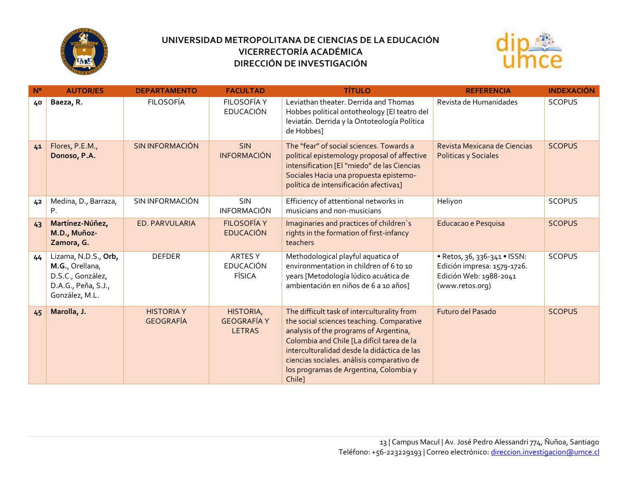



| $N^{\circ}$ | <b>AUTOR/ES</b>                                                                                       | <b>DEPARTAMENTO</b>                   | <b>FACULTAD</b>                                  | <b>TÍTULO</b>                                                                                                                                                                                                                                                                                                                     | <b>REFERENCIA</b>                                                                                        | <b>INDEXACIÓN</b> |
|-------------|-------------------------------------------------------------------------------------------------------|---------------------------------------|--------------------------------------------------|-----------------------------------------------------------------------------------------------------------------------------------------------------------------------------------------------------------------------------------------------------------------------------------------------------------------------------------|----------------------------------------------------------------------------------------------------------|-------------------|
| 40          | Baeza, R.                                                                                             | <b>FILOSOFÍA</b>                      | FILOSOFÍA Y<br><b>EDUCACIÓN</b>                  | Leviathan theater. Derrida and Thomas<br>Hobbes political ontotheology [El teatro del<br>leviatán. Derrida y la Ontoteología Política<br>de Hobbes]                                                                                                                                                                               | Revista de Humanidades                                                                                   | <b>SCOPUS</b>     |
| 41          | Flores, P.E.M.,<br>Donoso, P.A.                                                                       | <b>SIN INFORMACIÓN</b>                | <b>SIN</b><br><b>INFORMACIÓN</b>                 | The "fear" of social sciences. Towards a<br>political epistemology proposal of affective<br>intensification [El "miedo" de las Ciencias<br>Sociales Hacia una propuesta epistemo-<br>política de intensificación afectiva1]                                                                                                       | Revista Mexicana de Ciencias<br>Politicas y Sociales                                                     | <b>SCOPUS</b>     |
| 42          | Medina, D., Barraza,<br>Ρ.                                                                            | SIN INFORMACIÓN                       | <b>SIN</b><br><b>INFORMACIÓN</b>                 | Efficiency of attentional networks in<br>musicians and non-musicians                                                                                                                                                                                                                                                              | Heliyon                                                                                                  | <b>SCOPUS</b>     |
| 43          | Martínez-Núñez,<br>M.D., Muñoz-<br>Zamora, G.                                                         | ED. PARVULARIA                        | <b>FILOSOFÍA Y</b><br><b>EDUCACIÓN</b>           | Imaginaries and practices of children's<br>rights in the formation of first-infancy<br>teachers                                                                                                                                                                                                                                   | Educacao e Pesquisa                                                                                      | <b>SCOPUS</b>     |
| 44          | Lizama, N.D.S., Orb,<br>M.G., Orellana,<br>D.S.C., González,<br>D.A.G., Peña, S.J.,<br>González, M.L. | <b>DEFDER</b>                         | ARTES Y<br><b>EDUCACIÓN</b><br><b>FÍSICA</b>     | Methodological playful aquatica of<br>environmentation in children of 6 to 10<br>years [Metodología lúdico acuática de<br>ambientación en niños de 6 a 10 años]                                                                                                                                                                   | • Retos, 36, 336-341 • ISSN:<br>Edición impresa: 1579-1726.<br>Edición Web: 1988-2041<br>(www.retos.org) | <b>SCOPUS</b>     |
| 45          | Marolla, J.                                                                                           | <b>HISTORIA Y</b><br><b>GEOGRAFÍA</b> | HISTORIA,<br><b>GEOGRAFÍA Y</b><br><b>LETRAS</b> | The difficult task of interculturality from<br>the social sciences teaching. Comparative<br>analysis of the programs of Argentina,<br>Colombia and Chile [La difícil tarea de la<br>interculturalidad desde la didáctica de las<br>ciencias sociales. análisis comparativo de<br>los programas de Argentina, Colombia y<br>Chile] | Futuro del Pasado                                                                                        | <b>SCOPUS</b>     |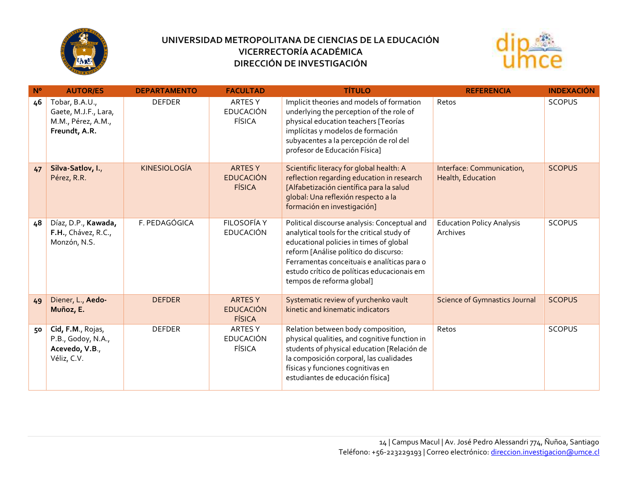



| $N^{\circ}$ | <b>AUTOR/ES</b>                                                               | <b>DEPARTAMENTO</b> | <b>FACULTAD</b>                                     | <b>TÍTULO</b>                                                                                                                                                                                                                                                                                             | <b>REFERENCIA</b>                              | <b>INDEXACIÓN</b> |
|-------------|-------------------------------------------------------------------------------|---------------------|-----------------------------------------------------|-----------------------------------------------------------------------------------------------------------------------------------------------------------------------------------------------------------------------------------------------------------------------------------------------------------|------------------------------------------------|-------------------|
| 46          | Tobar, B.A.U.,<br>Gaete, M.J.F., Lara,<br>M.M., Pérez, A.M.,<br>Freundt, A.R. | <b>DEFDER</b>       | ARTES Y<br><b>EDUCACIÓN</b><br><b>FÍSICA</b>        | Implicit theories and models of formation<br>underlying the perception of the role of<br>physical education teachers [Teorías<br>implícitas y modelos de formación<br>subyacentes a la percepción de rol del<br>profesor de Educación Física]                                                             | Retos                                          | <b>SCOPUS</b>     |
| 47          | Silva-Satlov, I.,<br>Pérez, R.R.                                              | <b>KINESIOLOGÍA</b> | <b>ARTES Y</b><br><b>EDUCACIÓN</b><br><b>FÍSICA</b> | Scientific literacy for global health: A<br>reflection regarding education in research<br>[Alfabetización científica para la salud<br>global: Una reflexión respecto a la<br>formación en investigación]                                                                                                  | Interface: Communication,<br>Health, Education | <b>SCOPUS</b>     |
| 48          | Díaz, D.P., Kawada,<br>F.H., Chávez, R.C.,<br>Monzón, N.S.                    | F. PEDAGÓGICA       | FILOSOFÍA Y<br>EDUCACIÓN                            | Political discourse analysis: Conceptual and<br>analytical tools for the critical study of<br>educational policies in times of global<br>reform [Análise político do discurso:<br>Ferramentas conceituais e analíticas para o<br>estudo crítico de políticas educacionais em<br>tempos de reforma global] | <b>Education Policy Analysis</b><br>Archives   | <b>SCOPUS</b>     |
| 49          | Diener, L., Aedo-<br>Muñoz, E.                                                | <b>DEFDER</b>       | <b>ARTES Y</b><br><b>EDUCACIÓN</b><br><b>FÍSICA</b> | Systematic review of yurchenko vault<br>kinetic and kinematic indicators                                                                                                                                                                                                                                  | <b>Science of Gymnastics Journal</b>           | <b>SCOPUS</b>     |
| 50          | Cid, F.M., Rojas,<br>P.B., Godoy, N.A.,<br>Acevedo, V.B.,<br>Véliz, C.V.      | <b>DEFDER</b>       | <b>ARTESY</b><br><b>EDUCACIÓN</b><br><b>FÍSICA</b>  | Relation between body composition,<br>physical qualities, and cognitive function in<br>students of physical education [Relación de<br>la composición corporal, las cualidades<br>físicas y funciones cognitivas en<br>estudiantes de educación física]                                                    | Retos                                          | <b>SCOPUS</b>     |